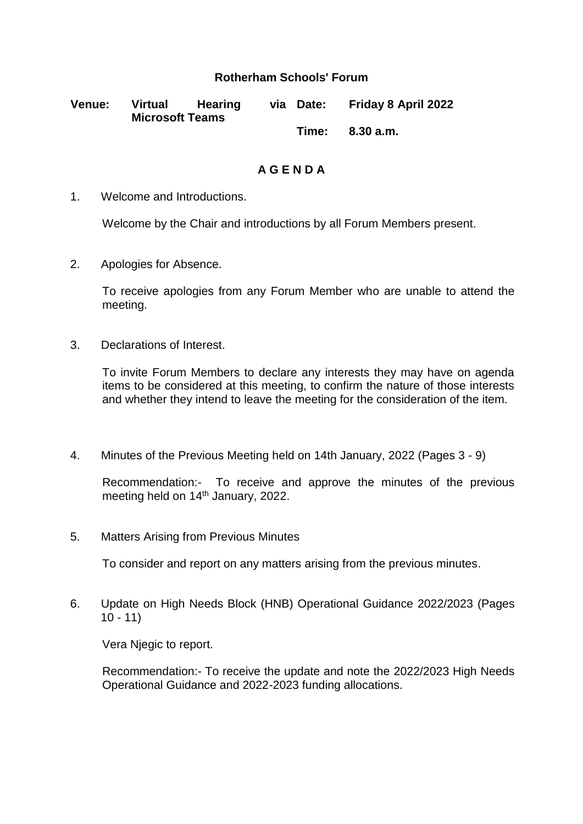## **Rotherham Schools' Forum**

| <b>Venue:</b> | Virtual<br><b>Microsoft Teams</b> | Hearing | via Date: | <b>Friday 8 April 2022</b> |
|---------------|-----------------------------------|---------|-----------|----------------------------|
|               |                                   |         |           | Time: 8.30 a.m.            |

**A G E N D A**

1. Welcome and Introductions.

Welcome by the Chair and introductions by all Forum Members present.

2. Apologies for Absence.

To receive apologies from any Forum Member who are unable to attend the meeting.

3. Declarations of Interest.

To invite Forum Members to declare any interests they may have on agenda items to be considered at this meeting, to confirm the nature of those interests and whether they intend to leave the meeting for the consideration of the item.

4. Minutes of the Previous Meeting held on 14th January, 2022 (Pages 3 - 9)

Recommendation:- To receive and approve the minutes of the previous meeting held on 14<sup>th</sup> January, 2022.

5. Matters Arising from Previous Minutes

To consider and report on any matters arising from the previous minutes.

6. Update on High Needs Block (HNB) Operational Guidance 2022/2023 (Pages  $10 - 11$ 

Vera Njegic to report.

Recommendation:- To receive the update and note the 2022/2023 High Needs Operational Guidance and 2022-2023 funding allocations.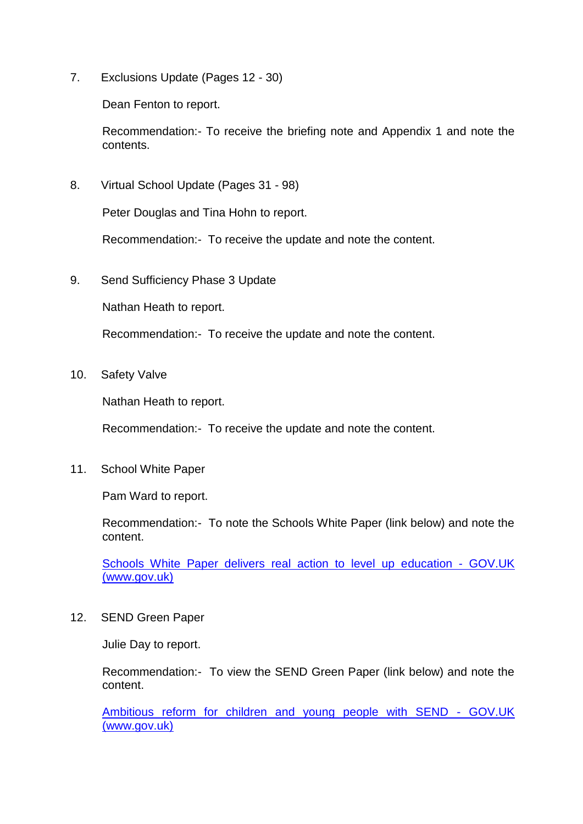7. Exclusions Update (Pages 12 - 30)

Dean Fenton to report.

Recommendation:- To receive the briefing note and Appendix 1 and note the contents.

8. Virtual School Update (Pages 31 - 98)

Peter Douglas and Tina Hohn to report.

Recommendation:- To receive the update and note the content.

9. Send Sufficiency Phase 3 Update

Nathan Heath to report.

Recommendation:- To receive the update and note the content.

10. Safety Valve

Nathan Heath to report.

Recommendation:- To receive the update and note the content.

11. School White Paper

Pam Ward to report.

Recommendation:- To note the Schools White Paper (link below) and note the content.

Schools White Paper delivers real action to level up education - GOV.UK (www.gov.uk)

12. SEND Green Paper

Julie Day to report.

Recommendation:- To view the SEND Green Paper (link below) and note the content.

[Ambitious reform for children and young people with SEND -](https://www.gov.uk/government/news/ambitious-reform-for-children-and-young-people-with-send?utm_medium=email&utm_campaign=govuk-notifications-topic&utm_source=9ae03d28-1716-4086-9ab0-a2ce7ea6020f&utm_content=daily) GOV.UK [\(www.gov.uk\)](https://www.gov.uk/government/news/ambitious-reform-for-children-and-young-people-with-send?utm_medium=email&utm_campaign=govuk-notifications-topic&utm_source=9ae03d28-1716-4086-9ab0-a2ce7ea6020f&utm_content=daily)